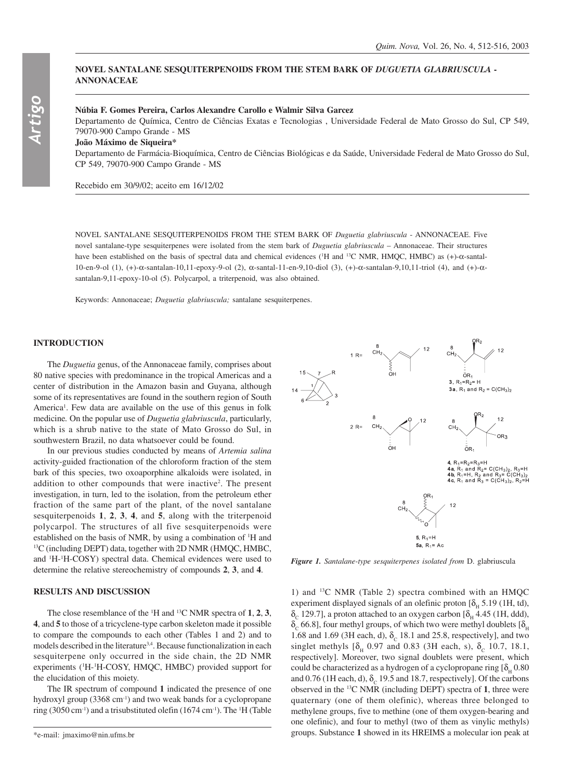## **NOVEL SANTALANE SESQUITERPENOIDS FROM THE STEM BARK OF** *DUGUETIA GLABRIUSCULA* **- ANNONACEAE**

## **Núbia F. Gomes Pereira, Carlos Alexandre Carollo e Walmir Silva Garcez**

Departamento de Química, Centro de Ciências Exatas e Tecnologias , Universidade Federal de Mato Grosso do Sul, CP 549, 79070-900 Campo Grande - MS

**João Máximo de Siqueira\***

Departamento de Farmácia-Bioquímica, Centro de Ciências Biológicas e da Saúde, Universidade Federal de Mato Grosso do Sul, CP 549, 79070-900 Campo Grande - MS

Recebido em 30/9/02; aceito em 16/12/02

NOVEL SANTALANE SESQUITERPENOIDS FROM THE STEM BARK OF *Duguetia glabriuscula* - ANNONACEAE. Five novel santalane-type sesquiterpenes were isolated from the stem bark of *Duguetia glabriuscula* – Annonaceae. Their structures have been established on the basis of spectral data and chemical evidences (<sup>1</sup>H and <sup>13</sup>C NMR, HMQC, HMBC) as (+)-α-santal-10-en-9-ol (1), (+)-α-santalan-10,11-epoxy-9-ol (2), α-santal-11-en-9,10-diol (3), (+)-α-santalan-9,10,11-triol (4), and (+)-αsantalan-9,11-epoxy-10-ol (5). Polycarpol, a triterpenoid, was also obtained.

Keywords: Annonaceae; *Duguetia glabriuscula;* santalane sesquiterpenes.

# **INTRODUCTION**

The *Duguetia* genus, of the Annonaceae family, comprises about 80 native species with predominance in the tropical Americas and a center of distribution in the Amazon basin and Guyana, although some of its representatives are found in the southern region of South America<sup>1</sup>. Few data are available on the use of this genus in folk medicine*.* On the popular use of *Duguetia glabriuscula*, particularly, which is a shrub native to the state of Mato Grosso do Sul, in southwestern Brazil, no data whatsoever could be found.

In our previous studies conducted by means of *Artemia salina* activity-guided fractionation of the chloroform fraction of the stem bark of this species, two oxoaporphine alkaloids were isolated, in addition to other compounds that were inactive<sup>2</sup>. The present investigation, in turn, led to the isolation, from the petroleum ether fraction of the same part of the plant, of the novel santalane sesquiterpenoids **1**, **2**, **3**, **4**, and **5**, along with the triterpenoid polycarpol. The structures of all five sesquiterpenoids were established on the basis of NMR, by using a combination of <sup>1</sup>H and 13C (including DEPT) data, together with 2D NMR (HMQC, HMBC, and <sup>1</sup>H-<sup>1</sup>H-COSY) spectral data. Chemical evidences were used to determine the relative stereochemistry of compounds **2**, **3**, and **4**.

### **RESULTS AND DISCUSSION**

The close resemblance of the 1 H and 13C NMR spectra of **1**, **2**, **3**, **4**, and **5** to those of a tricyclene-type carbon skeleton made it possible to compare the compounds to each other (Tables 1 and 2) and to models described in the literature<sup>3,4</sup>. Because functionalization in each sesquiterpene only occurred in the side chain, the 2D NMR experiments ('H-'H-COSY, HMQC, HMBC) provided support for the elucidation of this moiety.

The IR spectrum of compound **1** indicated the presence of one hydroxyl group (3368 cm<sup>-1</sup>) and two weak bands for a cyclopropane ring (3050 cm<sup>-1</sup>) and a trisubstituted olefin (1674 cm<sup>-1</sup>). The <sup>1</sup>H (Table



*Figure 1. Santalane-type sesquiterpenes isolated from* D. glabriuscula

1) and 13C NMR (Table 2) spectra combined with an HMQC experiment displayed signals of an olefinic proton  $[\delta_{\mu} 5.19 \text{ (1H, td)}]$ ,  $\delta_c$  129.7], a proton attached to an oxygen carbon [ $\delta_H$  4.45 (1H, ddd),  $\delta_c$  66.8], four methyl groups, of which two were methyl doublets  $[\delta_{\mu}]$ 1.68 and 1.69 (3H each, d),  $\delta_c$  18.1 and 25.8, respectively], and two singlet methyls  $[\delta_{\rm u} 0.97$  and 0.83 (3H each, s),  $\delta_{\rm c}$  10.7, 18.1, respectively]. Moreover, two signal doublets were present, which could be characterized as a hydrogen of a cyclopropane ring  $[\delta_0, 0.80]$ and 0.76 (1H each, d),  $\delta_c$  19.5 and 18.7, respectively]. Of the carbons observed in the 13C NMR (including DEPT) spectra of **1**, three were quaternary (one of them olefinic), whereas three belonged to methylene groups, five to methine (one of them oxygen-bearing and one olefinic), and four to methyl (two of them as vinylic methyls) groups. Substance **1** showed in its HREIMS a molecular ion peak at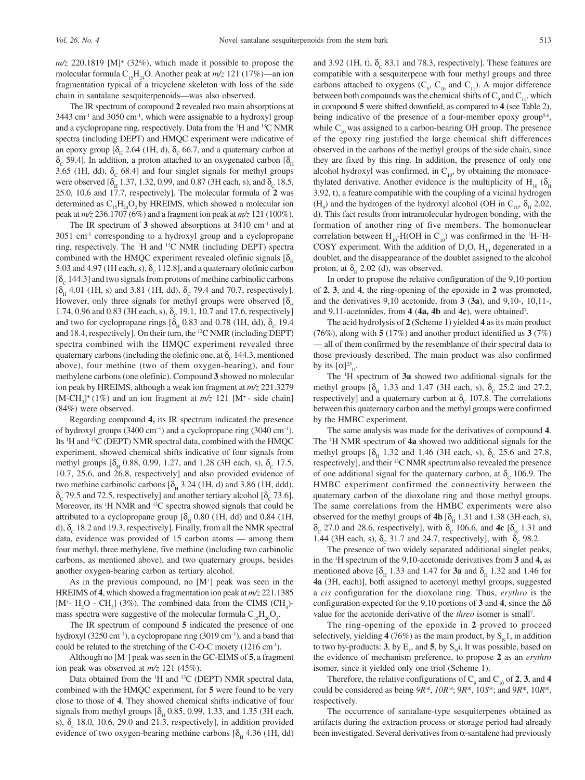*m/z* 220.1819 [M]+ (32%), which made it possible to propose the molecular formula C15H24O. Another peak at *m/z* 121 (17%)—an ion fragmentation typical of a tricyclene skeleton with loss of the side chain in santalane sesquiterpenoids—was also observed.

The IR spectrum of compound **2** revealed two main absorptions at  $3443$  cm<sup>-1</sup> and  $3050$  cm<sup>-1</sup>, which were assignable to a hydroxyl group and a cyclopropane ring, respectively. Data from the 1 H and 13C NMR spectra (including DEPT) and HMQC experiment were indicative of an epoxy group  $[\delta_{\mu} 2.64$  (1H, d),  $\delta_{c} 66.7$ , and a quaternary carbon at δ<sub>c</sub> 59.4]. In addition, a proton attached to an oxygenated carbon [δ<sub>H</sub> 3.65 (1H, dd),  $\delta_c$  68.4] and four singlet signals for methyl groups were observed  $[\delta_{\rm H} 1.37, 1.32, 0.99, \text{ and } 0.87 \text{ (3H each, s), and } \delta_{\rm C} 18.5,$ 25.0, 10.6 and 17.7, respectively]. The molecular formula of **2** was determined as  $C_{15}H_{24}O_2$  by HREIMS, which showed a molecular ion peak at *m/z* 236.1707 (6%) and a fragment ion peak at *m/z* 121 (100%).

The IR spectrum of **3** showed absorptions at 3410 cm-1 and at 3051 cm-1 corresponding to a hydroxyl group and a cyclopropane ring, respectively. The 1 H and 13C NMR (including DEPT) spectra combined with the HMQC experiment revealed olefinic signals  $[\delta_{\mu}]$ 5.03 and 4.97 (1H each, s),  $\delta_c$  112.8], and a quaternary olefinic carbon  $[\delta_c 144.3]$  and two signals from protons of methine carbinolic carbons  $[\delta_{\rm H}$  4.01 (1H, s) and 3.81 (1H, dd),  $\delta_{\rm C}$  79.4 and 70.7, respectively]. However, only three signals for methyl groups were observed  $[\delta_{\mu}]$ 1.74, 0.96 and 0.83 (3H each, s),  $\delta_c$  19.1, 10.7 and 17.6, respectively] and two for cyclopropane rings  $[\delta_{\rm H}$  0.83 and 0.78 (1H, dd),  $\delta_{\rm C}$  19.4 and 18.4, respectively]. On their turn, the 13C NMR (including DEPT) spectra combined with the HMQC experiment revealed three quaternary carbons (including the olefinic one, at  $\delta_c$  144.3, mentioned above), four methine (two of them oxygen-bearing), and four methylene carbons (one olefinic). Compound **3** showed no molecular ion peak by HREIMS, although a weak ion fragment at *m/z* 221.3279  $[M-CH<sub>3</sub>]+(1%)$  and an ion fragment at  $m/z$  121 [M<sup>+</sup> - side chain] (84%) were observed.

Regarding compound **4,** its IR spectrum indicated the presence of hydroxyl groups (3400 cm–1) and a cyclopropane ring (3040 cm–1). Its <sup>1</sup>H and <sup>13</sup>C (DEPT) NMR spectral data, combined with the HMQC experiment, showed chemical shifts indicative of four signals from methyl groups  $[\delta_{\rm H}$  0.88, 0.99, 1.27, and 1.28 (3H each, s),  $\delta_{\rm C}$  17.5, 10.7, 25.6, and 26.8, respectively] and also provided evidence of two methine carbinolic carbons  $[\delta_{\mu} 3.24$  (1H, d) and 3.86 (1H, ddd),  $\delta_c$  79.5 and 72.5, respectively] and another tertiary alcohol [ $\delta_c$  73.6]. Moreover, its <sup>1</sup>H NMR and <sup>13</sup>C spectra showed signals that could be attributed to a cyclopropane group  $[\delta_{\rm H} 0.80$  (1H, dd) and 0.84 (1H, d),  $\delta_c$  18.2 and 19.3, respectively]. Finally, from all the NMR spectral data, evidence was provided of 15 carbon atoms — among them four methyl, three methylene, five methine (including two carbinolic carbons, as mentioned above), and two quaternary groups, besides another oxygen-bearing carbon as tertiary alcohol.

As in the previous compound, no [M+ ] peak was seen in the HREIMS of **4**, which showed a fragmentation ion peak at *m/z* 221.1385 [M<sup>+</sup>- H<sub>2</sub>O - CH<sub>3</sub>] (3%). The combined data from the CIMS (CH<sub>4</sub>)mass spectra were suggestive of the molecular formula  $C_{15}H_{26}O_3$ .

The IR spectrum of compound **5** indicated the presence of one hydroxyl (3250 cm<sup>-1</sup>), a cyclopropane ring (3019 cm<sup>-1</sup>), and a band that could be related to the stretching of the C-O-C moiety (1216 cm-1).

Although no [M+ ] peak was seen in the GC-EIMS of **5**, a fragment ion peak was observed at *m/z* 121 (45%).

Data obtained from the <sup>1</sup>H and <sup>13</sup>C (DEPT) NMR spectral data, combined with the HMQC experiment, for **5** were found to be very close to those of **4**. They showed chemical shifts indicative of four signals from methyl groups  $[\delta_{\rm H} 0.85, 0.99, 1.33,$  and 1.35 (3H each, s),  $\delta_c$  18.0, 10.6, 29.0 and 21.3, respectively], in addition provided evidence of two oxygen-bearing methine carbons  $[\delta_{H} 4.36$  (1H, dd)

and 3.92 (1H, t),  $\delta_c$  83.1 and 78.3, respectively]. These features are compatible with a sesquiterpene with four methyl groups and three carbons attached to oxygens  $(C_9, C_{10}$  and  $C_{11}$ ). A major difference between both compounds was the chemical shifts of  $C_9$  and  $C_{11}$ , which in compound **5** were shifted downfield, as compared to **4** (see Table 2), being indicative of the presence of a four-member epoxy group<sup>5,6</sup>, while  $C_{10}$  was assigned to a carbon-bearing OH group. The presence of the epoxy ring justified the large chemical shift differences observed in the carbons of the methyl groups of the side chain, since they are fixed by this ring. In addition, the presence of only one alcohol hydroxyl was confirmed, in  $C_{10}$ , by obtaining the monoacethylated derivative. Another evidence is the multiplicity of H<sub>10</sub> ( $\delta$ <sub>H</sub> 3.92, t), a feature compatible with the coupling of a vicinal hydrogen  $(H<sub>9</sub>)$  and the hydrogen of the hydroxyl alcohol (OH in C<sub>10</sub>,  $\delta_{H}$  2.02, d). This fact results from intramolecular hydrogen bonding, with the formation of another ring of five members. The homonuclear correlation between  $H_{10}$ -H(OH in C<sub>10</sub>) was confirmed in the <sup>1</sup>H-<sup>1</sup>H-COSY experiment. With the addition of  $D_2O$ ,  $H_{10}$  degenerated in a doublet, and the disappearance of the doublet assigned to the alcohol proton, at  $\delta_{\text{u}}$  2.02 (d), was observed.

In order to propose the relative configuration of the 9,10 portion of **2**, **3**, and **4**, the ring-opening of the epoxide in **2** was promoted, and the derivatives 9,10 acetonide, from **3** (**3a**), and 9,10-, 10,11-, and 9,11-acetonides, from **4** (**4a, 4b** and **4c**), were obtained7 .

The acid hydrolysis of **2** (Scheme 1) yielded **4** as its main product (76%), along with **5** (17%) and another product identified as **3** (7%) — all of them confirmed by the resemblance of their spectral data to those previously described. The main product was also confirmed by its  $[\alpha]_{\text{D}}^{25}$ .

The 1 H spectrum of **3a** showed two additional signals for the methyl groups  $[\delta_{\text{H}}]$  1.33 and 1.47 (3H each, s),  $\delta_{\text{C}}$  25.2 and 27.2, respectively] and a quaternary carbon at  $\delta_c$  107.8. The correlations between this quaternary carbon and the methyl groups were confirmed by the HMBC experiment.

The same analysis was made for the derivatives of compound **4**. The 1 H NMR spectrum of **4a** showed two additional signals for the methyl groups  $[\delta_{H}$  1.32 and 1.46 (3H each, s),  $\delta_{C}$  25.6 and 27.8, respectively], and their 13C NMR spectrum also revealed the presence of one additional signal for the quaternary carbon, at  $\delta_c$  106.9. The HMBC experiment confirmed the connectivity between the quaternary carbon of the dioxolane ring and those methyl groups. The same correlations from the HMBC experiments were also observed for the methyl groups of **4b**  $[\delta_{H} 1.31$  and 1.38 (3H each, s),  $\delta_c$  27.0 and 28.6, respectively], with  $\delta_c$  106.6, and **4c** [δ<sub>H</sub> 1.31 and 1.44 (3H each, s),  $\delta_c$  31.7 and 24.7, respectively], with  $\delta_c$  98.2.

The presence of two widely separated additional singlet peaks, in the 1 H spectrum of the 9,10-acetonide derivatives from **3** and **4,** as mentioned above  $\delta_{\rm u}$  1.33 and 1.47 for **3a** and  $\delta_{\rm u}$  1.32 and 1.46 for **4a** (3H, each)], both assigned to acetonyl methyl groups, suggested a *cis* configuration for the dioxolane ring. Thus, *erythro* is the configuration expected for the 9,10 portions of **3** and **4**, since the ∆δ value for the acetonide derivative of the *threo* isomer is small7 .

The ring-opening of the epoxide in **2** proved to proceed selectively, yielding **4** (76%) as the main product, by  $S_y 1$ , in addition to two by-products: **3**, by  $E_1$ , and **5**, by  $S_N$ i. It was possible, based on the evidence of mechanism preference, to propose **2** as an *erythro* isomer, since it yielded only one triol (Scheme 1).

Therefore, the relative configurations of  $C_9$  and  $C_{10}$  of **2**, **3**, and **4** could be considered as being *9R\**, *10R\**; 9*R*\*, 10*S*\*; and 9*R*\*, 10*R*\*, respectively.

The occurrence of santalane-type sesquiterpenes obtained as artifacts during the extraction process or storage period had already been investigated. Several derivatives from  $\alpha$ -santalene had previously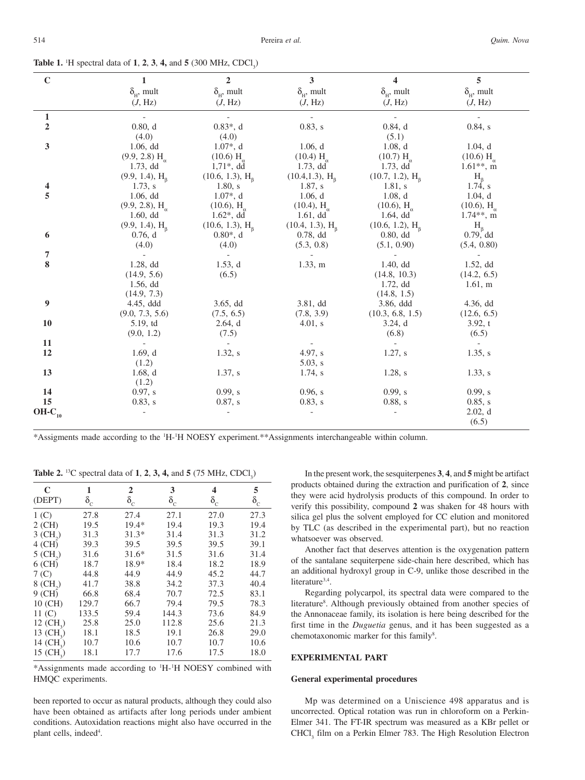| $\mathbf C$                    | $\mathbf{1}$                                              | $\overline{2}$              | $\overline{\mathbf{3}}$                                           | $\overline{\mathbf{4}}$                 | 5                                                         |
|--------------------------------|-----------------------------------------------------------|-----------------------------|-------------------------------------------------------------------|-----------------------------------------|-----------------------------------------------------------|
|                                | $\delta_{\mu}$ , mult                                     | $\delta_{\rm H}$ , mult     | $\delta_{\rm H}$ , mult                                           | $\delta_{\scriptscriptstyle\rm H}$ mult | $\delta_{\mu}$ , mult                                     |
|                                | (J, Hz)                                                   | (J, Hz)                     | (J, Hz)                                                           | (J, Hz)                                 | (J, Hz)                                                   |
|                                |                                                           |                             |                                                                   |                                         |                                                           |
| $\mathbf{1}$<br>$\overline{2}$ | 0.80, d                                                   |                             |                                                                   |                                         | $\overline{\phantom{a}}$                                  |
|                                | (4.0)                                                     | $0.83^*$ , d<br>(4.0)       | 0.83, s                                                           | 0.84, d<br>(5.1)                        | $0.84$ , s                                                |
| $\mathbf{3}$                   | 1.06, d d                                                 | $1.07^*$ , d                |                                                                   | 1.08, d                                 | 1.04, d                                                   |
|                                |                                                           |                             | 1.06, d                                                           |                                         |                                                           |
|                                | $(9.9, 2.8)$ H <sub><math>\alpha</math></sub><br>1.73, dd | $(10.6)$ H<br>$1,71^*$ , dd | $(10.4)$ H <sub><math>\alpha</math></sub><br>1.73, d <sub>d</sub> | $(10.7)$ H<br>1.73, d d                 | $(10.6)$ H <sub><math>\alpha</math></sub><br>$1.61**$ , m |
|                                |                                                           | (10.6, 1.3), H <sub>a</sub> | (10.4, 1.3), H <sub>a</sub>                                       | (10.7, 1.2), H <sub>a</sub>             | $H_{R}$                                                   |
| 4                              | (9.9, 1.4), H <sub>a</sub><br>1.73, s                     | 1.80, s                     | 1.87, s                                                           | 1.81, s                                 | $1.74$ , s                                                |
| 5                              | 1.06, d d                                                 | $1.07*, d$                  | 1.06, d                                                           | 1.08, d                                 | 1.04, d                                                   |
|                                | $(9.9, 2.8), H_{\alpha}$                                  | $(10.6), H_{\alpha}$        | $(10.4)$ , H <sub><math>\alpha</math></sub>                       | $(10.6), H_{\alpha}$                    | $(10.6), H_{\alpha}$                                      |
|                                | 1.60, d <sub>d</sub>                                      | $1.62^*$ , dd               | $1.61,$ dd                                                        | 1.64, d <sub>d</sub>                    | $1.74**$ , m                                              |
|                                | (9.9, 1.4), H <sub>a</sub>                                | (10.6, 1.3), H <sub>a</sub> | (10.4, 1.3), H <sub>a</sub>                                       | (10.6, 1.2), H <sub>a</sub>             | $H_{\beta}$                                               |
| 6                              | 0.76, d                                                   | $0.80*, d$                  | 0.78, d d                                                         | 0.80, d d                               | 0.79, dd                                                  |
|                                | (4.0)                                                     | (4.0)                       | (5.3, 0.8)                                                        | (5.1, 0.90)                             | (5.4, 0.80)                                               |
| 7                              |                                                           |                             |                                                                   |                                         |                                                           |
| 8                              | 1.28, dd                                                  | 1.53, d                     | 1.33, m                                                           | 1.40, d d                               | 1.52, d <sub>d</sub>                                      |
|                                | (14.9, 5.6)                                               | (6.5)                       |                                                                   | (14.8, 10.3)                            | (14.2, 6.5)                                               |
|                                | 1.56, d <sub>d</sub>                                      |                             |                                                                   | 1.72, d d                               | 1.61, m                                                   |
|                                | (14.9, 7.3)                                               |                             |                                                                   | (14.8, 1.5)                             |                                                           |
| 9                              | 4.45, ddd                                                 | 3.65, d <sub>d</sub>        | $3.81,$ dd                                                        | 3.86, ddd                               | 4.36, d <sub>d</sub>                                      |
|                                | (9.0, 7.3, 5.6)                                           | (7.5, 6.5)                  | (7.8, 3.9)                                                        | (10.3, 6.8, 1.5)                        | (12.6, 6.5)                                               |
| 10                             | 5.19,td                                                   | 2.64, d                     | 4.01, s                                                           | 3.24, d                                 | 3.92, t                                                   |
|                                | (9.0, 1.2)                                                | (7.5)                       |                                                                   | (6.8)                                   | (6.5)                                                     |
| 11                             |                                                           | $\blacksquare$              |                                                                   |                                         |                                                           |
| 12                             | 1.69, d                                                   | 1.32, s                     | 4.97, s                                                           | 1.27, s                                 | 1.35, s                                                   |
|                                | (1.2)                                                     |                             | 5.03, s                                                           |                                         |                                                           |
| 13                             | 1.68, d                                                   | 1.37, s                     | $1.74$ , s                                                        | 1.28, s                                 | 1.33, s                                                   |
|                                | (1.2)                                                     |                             |                                                                   |                                         |                                                           |
| 14                             | 0.97, s                                                   | 0.99, s                     | 0.96, s                                                           | 0.99, s                                 | 0.99, s                                                   |
| 15                             | 0.83, s                                                   | 0.87, s                     | 0.83, s                                                           | 0.88, s                                 | 0.85, s                                                   |
| $OH-C_{10}$                    |                                                           |                             |                                                                   |                                         | 2.02, d                                                   |
|                                |                                                           |                             |                                                                   |                                         | (6.5)                                                     |

**Table 1.** <sup>1</sup>H spectral data of **1**, **2**, **3**, **4**, and **5** (300 MHz, CDCl<sub>3</sub>)

\*Assigments made according to the 1 H-1 H NOESY experiment.\*\*Assignments interchangeable within column.

**Table 2.** <sup>13</sup>C spectral data of **1**, **2**, **3**, **4**, and **5** (75 MHz, CDCl<sub>3</sub>)

| C<br>(DEPT)            | 1<br>$\delta_c$ | $\overline{2}$<br>$\delta_c$ | 3<br>$\delta_c$ | 4<br>$\delta_c$ | 5<br>$\delta_c$ |
|------------------------|-----------------|------------------------------|-----------------|-----------------|-----------------|
| 1(C)                   | 27.8            | 27.4                         | 27.1            | 27.0            | 27.3            |
| 2 (CH)                 | 19.5            | $19.4*$                      | 19.4            | 19.3            | 19.4            |
| $3$ (CH <sub>2</sub> ) | 31.3            | $31.3*$                      | 31.4            | 31.3            | 31.2            |
| $4$ (CH)               | 39.3            | 39.5                         | 39.5            | 39.5            | 39.1            |
| $5$ (CH <sub>2</sub> ) | 31.6            | $31.6*$                      | 31.5            | 31.6            | 31.4            |
| $6$ (CH)               | 18.7            | 18.9*                        | 18.4            | 18.2            | 18.9            |
| 7 <sub>(C)</sub>       | 44.8            | 44.9                         | 44.9            | 45.2            | 44.7            |
| $8$ (CH <sub>2</sub> ) | 41.7            | 38.8                         | 34.2            | 37.3            | 40.4            |
| $9$ (CH)               | 66.8            | 68.4                         | 70.7            | 72.5            | 83.1            |
| 10 (CH)                | 129.7           | 66.7                         | 79.4            | 79.5            | 78.3            |
| 11 <sub>(C)</sub>      | 133.5           | 59.4                         | 144.3           | 73.6            | 84.9            |
| 12 $(CH_2)$            | 25.8            | 25.0                         | 112.8           | 25.6            | 21.3            |
| 13 $(CH_2)$            | 18.1            | 18.5                         | 19.1            | 26.8            | 29.0            |
| 14 $(CH_2)$            | 10.7            | 10.6                         | 10.7            | 10.7            | 10.6            |
| $15 \, (CH, )$         | 18.1            | 17.7                         | 17.6            | 17.5            | 18.0            |

\*Assignments made according to 1 H-1 H NOESY combined with HMQC experiments.

been reported to occur as natural products, although they could also have been obtained as artifacts after long periods under ambient conditions. Autoxidation reactions might also have occurred in the plant cells, indeed<sup>4</sup>.

In the present work, the sesquiterpenes **3**, **4**, and **5** might be artifact products obtained during the extraction and purification of **2**, since they were acid hydrolysis products of this compound. In order to verify this possibility, compound **2** was shaken for 48 hours with silica gel plus the solvent employed for CC elution and monitored by TLC (as described in the experimental part), but no reaction whatsoever was observed.

Another fact that deserves attention is the oxygenation pattern of the santalane sequiterpene side-chain here described, which has an additional hydroxyl group in C-9, unlike those described in the literature<sup>3,4</sup>.

Regarding polycarpol, its spectral data were compared to the literature<sup>8</sup>. Although previously obtained from another species of the Annonaceae family, its isolation is here being described for the first time in the *Duguetia* genus, and it has been suggested as a chemotaxonomic marker for this family<sup>8</sup>.

# **EXPERIMENTAL PART**

# **General experimental procedures**

Mp was determined on a Uniscience 498 apparatus and is uncorrected. Optical rotation was run in chloroform on a Perkin-Elmer 341. The FT-IR spectrum was measured as a KBr pellet or CHCl<sub>3</sub> film on a Perkin Elmer 783. The High Resolution Electron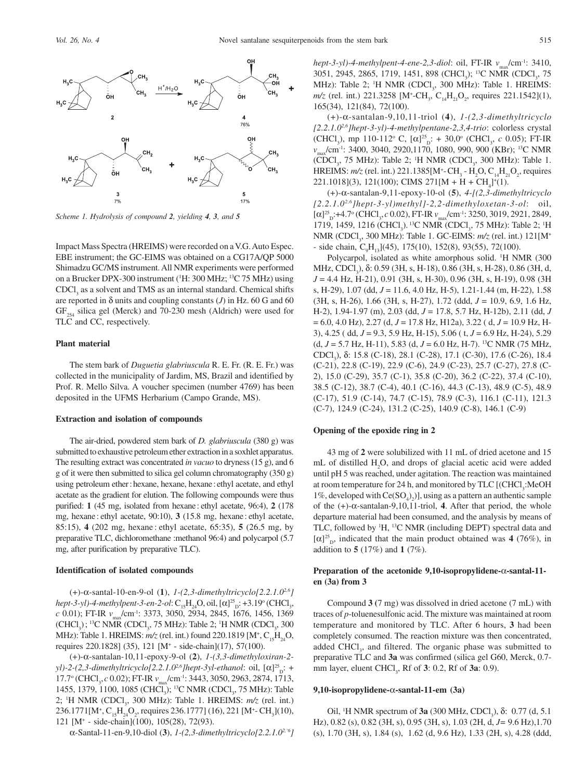

*Scheme 1. Hydrolysis of compound 2, yielding 4, 3, and 5*

Impact Mass Spectra (HREIMS) were recorded on a V.G. Auto Espec. EBE instrument; the GC-EIMS was obtained on a CG17A/QP 5000 Shimadzu GC/MS instrument. All NMR experiments were performed on a Brucker DPX-300 instrument (<sup>1</sup>H: 300 MHz; <sup>13</sup>C 75 MHz) using  $CDCI<sub>3</sub>$  as a solvent and TMS as an internal standard. Chemical shifts are reported in  $\delta$  units and coupling constants (*J*) in Hz. 60 G and 60  $GF_{254}$  silica gel (Merck) and 70-230 mesh (Aldrich) were used for TLC and CC, respectively.

# **Plant material**

The stem bark of *Duguetia glabriuscula* R. E. Fr. (R. E. Fr.) was collected in the municipality of Jardim, MS, Brazil and identified by Prof. R. Mello Silva. A voucher specimen (number 4769) has been deposited in the UFMS Herbarium (Campo Grande, MS).

### **Extraction and isolation of compounds**

The air-dried, powdered stem bark of *D. glabriuscula* (380 g) was submitted to exhaustive petroleum ether extraction in a soxhlet apparatus. The resulting extract was concentrated *in vacuo* to dryness (15 g), and 6 g of it were then submitted to silica gel column chromatography (350 g) using petroleum ether: hexane, hexane, hexane: ethyl acetate, and ethyl acetate as the gradient for elution. The following compounds were thus purified: **1** (45 mg, isolated from hexane : ethyl acetate, 96:4), **2** (178 mg, hexane : ethyl acetate, 90:10), **3** (15.8 mg, hexane : ethyl acetate, 85:15), **4** (202 mg, hexane : ethyl acetate, 65:35), **5** (26.5 mg, by preparative TLC, dichloromethane :methanol 96:4) and polycarpol (5.7 mg, after purification by preparative TLC).

#### **Identification of isolated compounds**

(+)-α-santal-10-en-9-ol (**1**), *1-(2,3-dimethyltricyclo[2.2.1.02,6] hept-3-yl)-4-methylpent-3-en-2-ol*: C<sub>15</sub>H<sub>24</sub>O, oil, [α]<sup>25</sup><sub>D</sub>: +3.19° (CHCl<sub>3</sub>, *c* 0.01); FT-IR  $v_{\text{max}}$ /cm<sup>-1</sup>: 3373, 3050, 2934, 2845, 1676, 1456, 1369 (CHCl<sub>3</sub>); <sup>13</sup>C NMR (CDCl<sub>3</sub>, 75 MHz): Table 2; <sup>1</sup>H NMR (CDCl<sub>3</sub>, 300 MHz): Table 1. HREIMS: *m/z* (rel. int.) found 220.1819 [M<sup>+</sup>, C<sub>15</sub>H<sub>24</sub>O, requires 220.1828] (35), 121 [M+ - side-chain](17), 57(100).

(+)-α-santalan-10,11-epoxy-9-ol (**2**), *1-(3,3-dimethyloxiran-2 yl*)-2-(2,3-dimethyltricyclo[2.2.1.0<sup>2,6</sup>]hept-3yl-ethanol: oil, [α]<sup>25</sup><sub>D</sub>: + 17.7° (CHCl<sub>3</sub>, *c* 0.02); FT-IR  $v_{\text{max}}/\text{cm}^{-1}$ : 3443, 3050, 2963, 2874, 1713, 1455, 1379, 1100, 1085 (CHCl<sub>3</sub>); <sup>13</sup>C NMR (CDCl<sub>3</sub>, 75 MHz): Table 2; <sup>1</sup>H NMR (CDCl<sub>3</sub>, 300 MHz): Table 1. HREIMS: *m/z* (rel. int.) 236.1771[M<sup>+</sup>, C<sub>15</sub>H<sub>24</sub>O<sub>2</sub>, requires 236.1777] (16), 221 [M<sup>+</sup>-CH<sub>3</sub>](10), 121 [M+ - side-chain](100), 105(28), 72(93).

α-Santal-11-en-9,10-diol (**3**), *1-(2,3-dimethyltricyclo[2.2.1.02,'6]*

*hept-3-yl)-4-methylpent-4-ene-2,3-diol:* oil, FT-IR  $v_{\text{max}}/\text{cm}^{-1}$ : 3410, 3051, 2945, 2865, 1719, 1451, 898 (CHCl<sub>3</sub>); <sup>13</sup>C NMR (CDCl<sub>3</sub>, 75 MHz): Table 2; <sup>1</sup>H NMR (CDCl<sub>3</sub>, 300 MHz): Table 1. HREIMS:  $m/z$  (rel. int.) 221.3258 [M<sup>+</sup>-CH<sub>3</sub>, C<sub>14</sub>H<sub>21</sub>O<sub>2</sub>, requires 221.1542](1), 165(34), 121(84), 72(100).

(+)-α-santalan-9,10,11-triol (**4**), *1-(2,3-dimethyltricyclo [2.2.1.02,6]hept-3-yl)-4-methylpentane-2,3,4-trio*: colorless crystal (CHCl<sub>3</sub>), mp 110-112<sup>o</sup> C,  $[\alpha]_{D}^{25}$ ; + 30,0<sup>o</sup> (CHCl<sub>3</sub>, *c* 0.05); FT-IR *v*<sub>max</sub>/cm<sup>-1</sup>: 3400, 3040, 2920,1170, 1080, 990, 900 (KBr); <sup>13</sup>C NMR  $(CDCl<sub>3</sub>, 75 MHz)$ : Table 2; <sup>1</sup>H NMR  $(CDCl<sub>3</sub>, 300 MHz)$ : Table 1. HREIMS:  $m/z$  (rel. int.) 221.1385[M<sup>+</sup>-CH<sub>3</sub> - H<sub>2</sub>O, C<sub>14</sub>H<sub>21</sub>O<sub>2</sub>, requires  $221.1018(3), 121(100); \text{ CIMS } 271[M + H + CH<sub>4</sub>]<sup>+</sup>(1).$ 

(+)-α-santalan-9,11-epoxy-10-ol (**5**), *4-[(2,3-dimethyltricyclo [2.2.1.02,6]hept-3-yl)methyl]-2,2-dimethyloxetan-3-ol*: oil, [α]<sup>25</sup><sub>D</sub>:+4.7<sup>o</sup> (CHCl<sub>3</sub>, *c* 0.02), FT-IR *v*<sub>max</sub>/cm<sup>-1</sup>: 3250, 3019, 2921, 2849, 1719, 1459, 1216 (CHCl<sub>3</sub>).<sup>13</sup>C NMR (CDCl<sub>3</sub>, 75 MHz): Table 2; <sup>1</sup>H NMR (CDCl<sub>3</sub>, 300 MHz): Table 1. GC-EIMS: *m/z* (rel. int.) 121[M<sup>+</sup> - side chain,  $C_9H_{13}$ ](45), 175(10), 152(8), 93(55), 72(100).

Polycarpol, isolated as white amorphous solid. <sup>1</sup>H NMR (300 MHz, CDCl<sub>3</sub>), δ: 0.59 (3H, s, H-18), 0.86 (3H, s, H-28), 0.86 (3H, d, *J* = 4.4 Hz, H-21), 0.91 (3H, s, H-30), 0.96 (3H, s, H-19), 0.98 (3H s, H-29), 1.07 (dd, *J* = 11.6, 4.0 Hz, H-5), 1.21-1.44 (m, H-22), 1.58 (3H, s, H-26), 1.66 (3H, s, H-27), 1.72 (ddd, *J* = 10.9, 6.9, 1.6 Hz, H-2), 1.94-1.97 (m), 2.03 (dd, *J* = 17.8, 5.7 Hz, H-12b), 2.11 (dd, *J* = 6.0, 4.0 Hz), 2.27 (d, *J* = 17.8 Hz, H12a), 3.22 ( d, *J* = 10.9 Hz, H-3), 4.25 ( dd, *J* = 9.3, 5.9 Hz, H-15), 5.06 ( t, *J* = 6.9 Hz, H-24), 5.29 (d, *J* = 5.7 Hz, H-11), 5.83 (d, *J* = 6.0 Hz, H-7). 13C NMR (75 MHz, CDCl<sub>3</sub>), δ: 15.8 (C-18), 28.1 (C-28), 17.1 (C-30), 17.6 (C-26), 18.4 (C-21), 22.8 (C-19), 22.9 (C-6), 24.9 (C-23), 25.7 (C-27), 27.8 (C-2), 15.0 (C-29), 35.7 (C-1), 35.8 (C-20), 36.2 (C-22), 37.4 (C-10), 38.5 (C-12), 38.7 (C-4), 40.1 (C-16), 44.3 (C-13), 48.9 (C-5), 48.9 (C-17), 51.9 (C-14), 74.7 (C-15), 78.9 (C-3), 116.1 (C-11), 121.3 (C-7), 124.9 (C-24), 131.2 (C-25), 140.9 (C-8), 146.1 (C-9)

#### **Opening of the epoxide ring in 2**

43 mg of **2** were solubilized with 11 mL of dried acetone and 15 mL of distilled  $H_2O$ , and drops of glacial acetic acid were added until pH 5 was reached, under agitation. The reaction was maintained at room temperature for 24 h, and monitored by TLC [(CHCl<sub>3</sub>:MeOH 1%, developed with  $\text{Ce(SO}_4)_{2}$ ], using as a pattern an authentic sample of the (+)-α-santalan-9,10,11-triol, **4**. After that period, the whole departure material had been consumed, and the analysis by means of TLC, followed by <sup>1</sup>H, <sup>13</sup>C NMR (including DEPT) spectral data and  $[\alpha]_{\text{D}}^{25}$ , indicated that the main product obtained was **4** (76%), in addition to **5** (17%) and **1** (7%).

## **Preparation of the acetonide 9,10-isopropylidene-**α**-santal-11 en (3a) from 3**

Compound **3 (**7 mg) was dissolved in dried acetone (7 mL) with traces of *p*-toluenesulfonic acid. The mixture was maintained at room temperature and monitored by TLC. After 6 hours, **3** had been completely consumed. The reaction mixture was then concentrated, added CHCl<sub>3</sub>, and filtered. The organic phase was submitted to preparative TLC and **3a** was confirmed (silica gel G60, Merck, 0.7 mm layer, eluent CHCl<sub>3</sub>, Rf of **3**: 0.2, Rf of **3a**: 0.9).

#### **9,10-isopropylidene-**α**-santal-11-em (3a)**

Oil, <sup>1</sup>H NMR spectrum of **3a** (300 MHz, CDCl<sub>3</sub>), δ: 0.77 (d, 5.1) Hz), 0.82 (s), 0.82 (3H, s), 0.95 (3H, s), 1.03 (2H, d, *J=* 9.6 Hz),1.70 (s), 1.70 (3H, s), 1.84 (s), 1.62 (d, 9.6 Hz), 1.33 (2H, s), 4.28 (ddd,